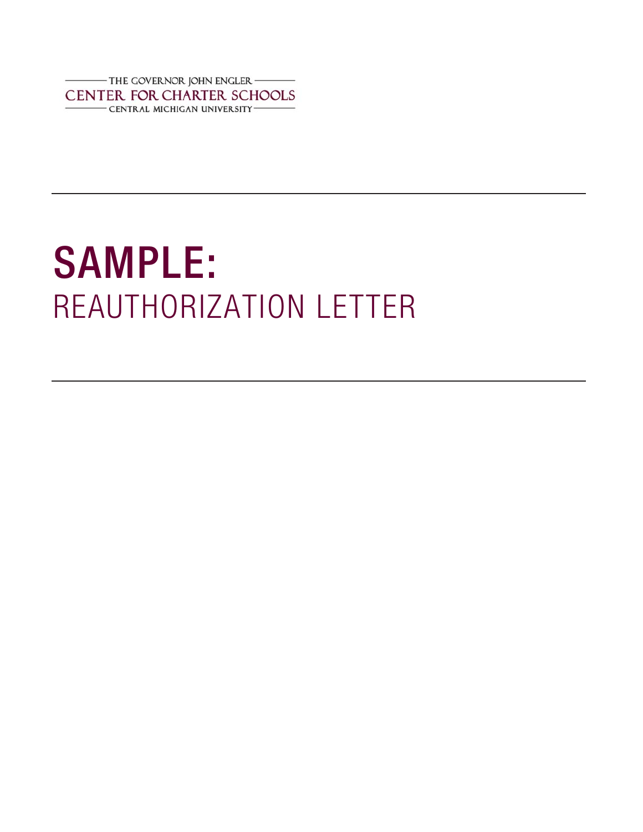THE GOVERNOR JOHN ENGLER CENTER FOR CHARTER SCHOOLS - CENTRAL MICHIGAN UNIVERSITY-

## SAMPLE:<br>REAUTHORIZATION LETTER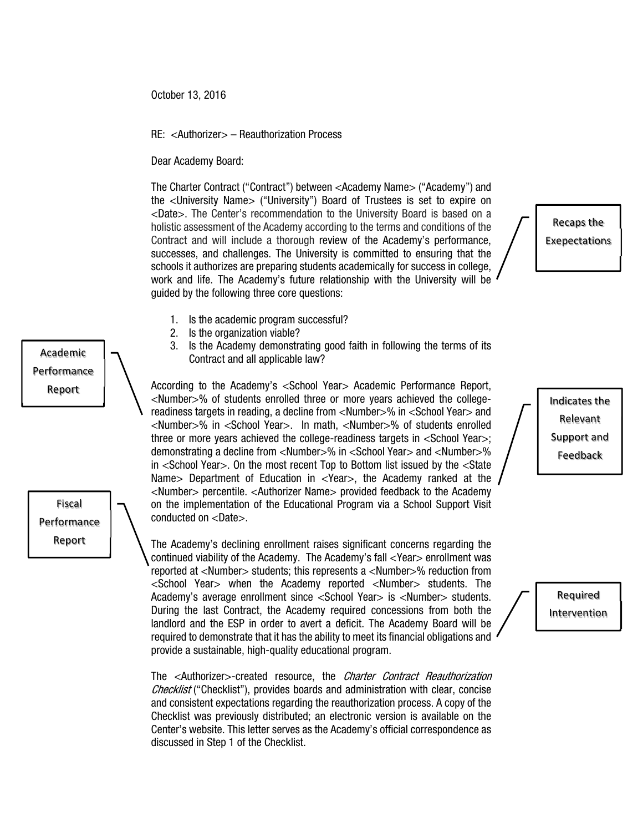October 13, 2016

## RE: <Authorizer> – Reauthorization Process

Dear Academy Board:

Academic Performance Report

Fiscal Performance Report

The Charter Contract ("Contract") between <Academy Name> ("Academy") and the <University Name> ("University") Board of Trustees is set to expire on <Date>. The Center's recommendation to the University Board is based on a holistic assessment of the Academy according to the terms and conditions of the Contract and will include a thorough review of the Academy's performance, successes, and challenges. The University is committed to ensuring that the schools it authorizes are preparing students academically for success in college, work and life. The Academy's future relationship with the University will be guided by the following three core questions:

Recaps the Exepectations

- 1. Is the academic program successful?
- 2. Is the organization viable?
- 3. Is the Academy demonstrating good faith in following the terms of its Contract and all applicable law?

According to the Academy's <School Year> Academic Performance Report, <Number>% of students enrolled three or more years achieved the collegereadiness targets in reading, a decline from <Number>% in <School Year> and <Number>% in <School Year>. In math, <Number>% of students enrolled three or more years achieved the college-readiness targets in <School Year>; demonstrating a decline from <Number>% in <School Year> and <Number>% in <School Year>. On the most recent Top to Bottom list issued by the <State Name> Department of Education in <Year>, the Academy ranked at the <Number> percentile. <Authorizer Name> provided feedback to the Academy on the implementation of the Educational Program via a School Support Visit conducted on <Date>.

The Academy's declining enrollment raises significant concerns regarding the continued viability of the Academy. The Academy's fall <Year> enrollment was reported at <Number> students; this represents a <Number>% reduction from <School Year> when the Academy reported <Number> students. The Academy's average enrollment since <School Year> is <Number> students. During the last Contract, the Academy required concessions from both the landlord and the ESP in order to avert a deficit. The Academy Board will be required to demonstrate that it has the ability to meet its financial obligations and provide a sustainable, high-quality educational program.

The <Authorizer>-created resource, the *Charter Contract Reauthorization* Checklist ("Checklist"), provides boards and administration with clear, concise and consistent expectations regarding the reauthorization process. A copy of the Checklist was previously distributed; an electronic version is available on the Center's website. This letter serves as the Academy's official correspondence as discussed in Step 1 of the Checklist.

Indicates the Relevant Support and Feedback

> Required Intervention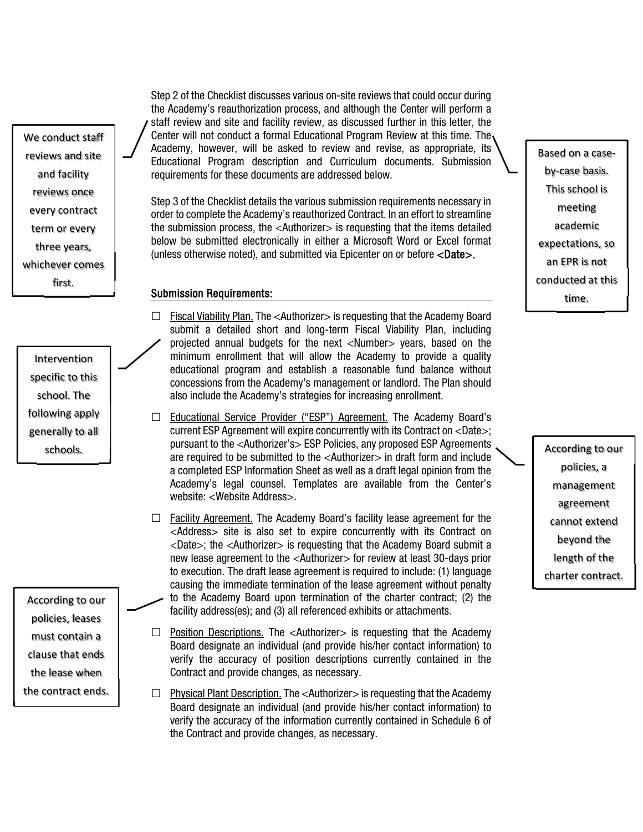We conduct staff reviews and site and facility reviews once every contract term or every three years, whichever comes first.

Intervention specific to this school. The following apply generally to all

According to our policies, leases must contain a clause that ends the lease when the contract ends. Step 2 of the Checklist discusses various on-site reviews that could occur during the Academy's reauthorization process, and although the Center will perform a staff review and site and facility review, as discussed further in this letter, the Center will not conduct a formal Educational Program Review at this time. The Academy, however, will be asked to review and revise, as appropriate, its Educational Program description and Curriculum documents. Submission requirements for these documents are addressed below.

Step 3 of the Checklist details the various submission requirements necessary in order to complete the Academy's reauthorized Contract. In an effort to streamline the submission process, the <Authorizer> is requesting that the items detailed below be submitted electronically in either a Microsoft Word or Excel format (unless otherwise noted), and submitted via Epicenter on or before <Date>.

## Submission Requirements:

- $\Box$  Fiscal Viability Plan. The <Authorizer> is requesting that the Academy Board submit a detailed short and long-term Fiscal Viability Plan, including projected annual budgets for the next <Number> years, based on the minimum enrollment that will allow the Academy to provide a quality educational program and establish a reasonable fund balance without concessions from the Academy's management or landlord. The Plan should also include the Academy's strategies for increasing enrollment.
- ☐ Educational Service Provider ("ESP") Agreement. The Academy Board's current ESP Agreement will expire concurrently with its Contract on <Date>; pursuant to the <Authorizer's> ESP Policies, any proposed ESP Agreements schools. The required to be submitted to the <Authorizer> in draft form and include according to our<br>are required to be submitted to the <Authorizer> in draft form and include a completed ESP Information Sheet as well as a draft legal opinion from the Academy's legal counsel. Templates are available from the Center's website: <Website Address>.
	- $\Box$  Facility Agreement. The Academy Board's facility lease agreement for the <Address> site is also set to expire concurrently with its Contract on  $\langle$ Date $>$ ; the  $\langle$ Authorizer $>$  is requesting that the Academy Board submit a new lease agreement to the <Authorizer> for review at least 30-days prior to execution. The draft lease agreement is required to include: (1) language causing the immediate termination of the lease agreement without penalty to the Academy Board upon termination of the charter contract; (2) the facility address(es); and (3) all referenced exhibits or attachments.
	- □ Position Descriptions. The <Authorizer> is requesting that the Academy Board designate an individual (and provide his/her contact information) to verify the accuracy of position descriptions currently contained in the Contract and provide changes, as necessary.
	- □ Physical Plant Description. The <Authorizer> is requesting that the Academy Board designate an individual (and provide his/her contact information) to verify the accuracy of the information currently contained in Schedule 6 of the Contract and provide changes, as necessary.

Based on a case‐ by‐case basis. This school is meeting academic expectations, so an EPR is not conducted at this time.

policies, a management agreement cannot extend beyond the length of the charter contract.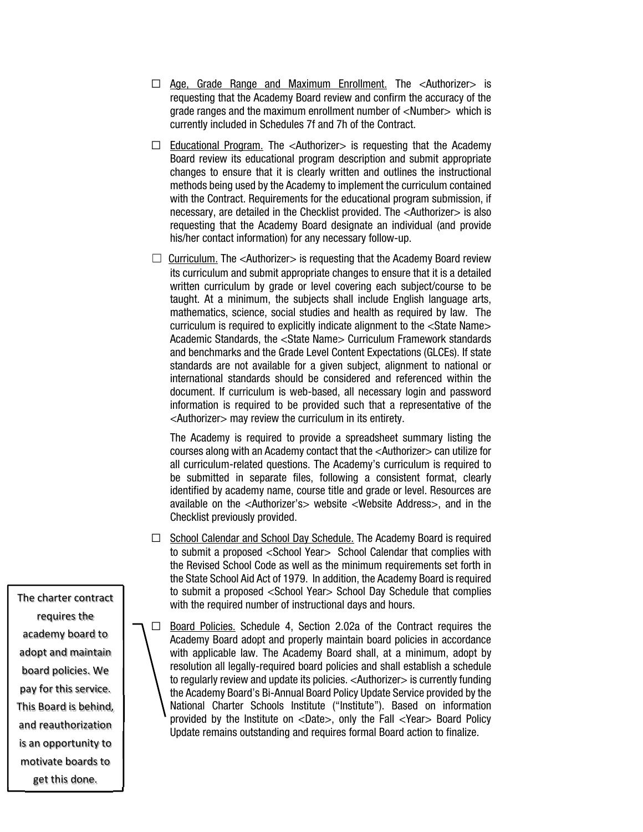- □ Age, Grade Range and Maximum Enrollment. The <Authorizer> is requesting that the Academy Board review and confirm the accuracy of the grade ranges and the maximum enrollment number of <Number> which is currently included in Schedules 7f and 7h of the Contract.
- $\Box$  Educational Program. The <Authorizer> is requesting that the Academy Board review its educational program description and submit appropriate changes to ensure that it is clearly written and outlines the instructional methods being used by the Academy to implement the curriculum contained with the Contract. Requirements for the educational program submission, if necessary, are detailed in the Checklist provided. The <Authorizer> is also requesting that the Academy Board designate an individual (and provide his/her contact information) for any necessary follow-up.
- $\Box$  Curriculum. The <Authorizer> is requesting that the Academy Board review its curriculum and submit appropriate changes to ensure that it is a detailed written curriculum by grade or level covering each subject/course to be taught. At a minimum, the subjects shall include English language arts, mathematics, science, social studies and health as required by law. The curriculum is required to explicitly indicate alignment to the <State Name> Academic Standards, the <State Name> Curriculum Framework standards and benchmarks and the Grade Level Content Expectations (GLCEs). If state standards are not available for a given subject, alignment to national or international standards should be considered and referenced within the document. If curriculum is web-based, all necessary login and password information is required to be provided such that a representative of the <Authorizer> may review the curriculum in its entirety.

The Academy is required to provide a spreadsheet summary listing the courses along with an Academy contact that the <Authorizer> can utilize for all curriculum-related questions. The Academy's curriculum is required to be submitted in separate files, following a consistent format, clearly identified by academy name, course title and grade or level. Resources are available on the <Authorizer's> website <Website Address>, and in the Checklist previously provided.

- □ School Calendar and School Day Schedule. The Academy Board is required to submit a proposed <School Year> School Calendar that complies with the Revised School Code as well as the minimum requirements set forth in the State School Aid Act of 1979. In addition, the Academy Board is required to submit a proposed <School Year> School Day Schedule that complies with the required number of instructional days and hours.
- □ Board Policies. Schedule 4, Section 2.02a of the Contract requires the Academy Board adopt and properly maintain board policies in accordance with applicable law. The Academy Board shall, at a minimum, adopt by resolution all legally-required board policies and shall establish a schedule to regularly review and update its policies. <Authorizer> is currently funding the Academy Board's Bi-Annual Board Policy Update Service provided by the National Charter Schools Institute ("Institute"). Based on information provided by the Institute on <Date>, only the Fall <Year> Board Policy Update remains outstanding and requires formal Board action to finalize.

The charter contract requires the academy board to adopt and maintain board policies. We pay for this service. This Board is behind, and reauthorization is an opportunity to motivate boards to get this done.